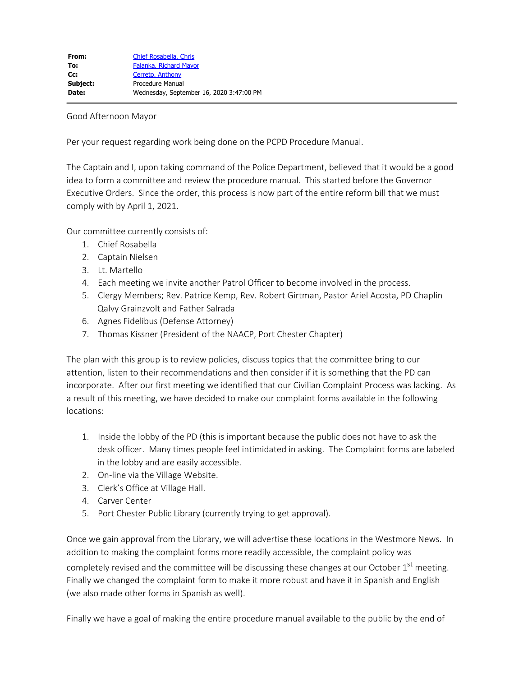## Good Afternoon Mayor

Per your request regarding work being done on the PCPD Procedure Manual.

The Captain and I, upon taking command of the Police Department, believed that it would be a good idea to form a committee and review the procedure manual. This started before the Governor Executive Orders. Since the order, this process is now part of the entire reform bill that we must comply with by April 1, 2021.

Our committee currently consists of:

- 1. Chief Rosabella
- 2. Captain Nielsen
- 3. Lt. Martello
- 4. Each meeting we invite another Patrol Officer to become involved in the process.
- 5. Clergy Members; Rev. Patrice Kemp, Rev. Robert Girtman, Pastor Ariel Acosta, PD Chaplin Qalvy Grainzvolt and Father Salrada
- 6. Agnes Fidelibus (Defense Attorney)
- 7. Thomas Kissner (President of the NAACP, Port Chester Chapter)

The plan with this group is to review policies, discuss topics that the committee bring to our attention, listen to their recommendations and then consider if it is something that the PD can incorporate. After our first meeting we identified that our Civilian Complaint Process was lacking. As a result of this meeting, we have decided to make our complaint forms available in the following locations:

- 1. Inside the lobby of the PD (this is important because the public does not have to ask the desk officer. Many times people feel intimidated in asking. The Complaint forms are labeled in the lobby and are easily accessible.
- 2. On-line via the Village Website.
- 3. Clerk's Office at Village Hall.
- 4. Carver Center
- 5. Port Chester Public Library (currently trying to get approval).

Once we gain approval from the Library, we will advertise these locations in the Westmore News. In addition to making the complaint forms more readily accessible, the complaint policy was completely revised and the committee will be discussing these changes at our October 1<sup>st</sup> meeting. Finally we changed the complaint form to make it more robust and have it in Spanish and English (we also made other forms in Spanish as well).

Finally we have a goal of making the entire procedure manual available to the public by the end of